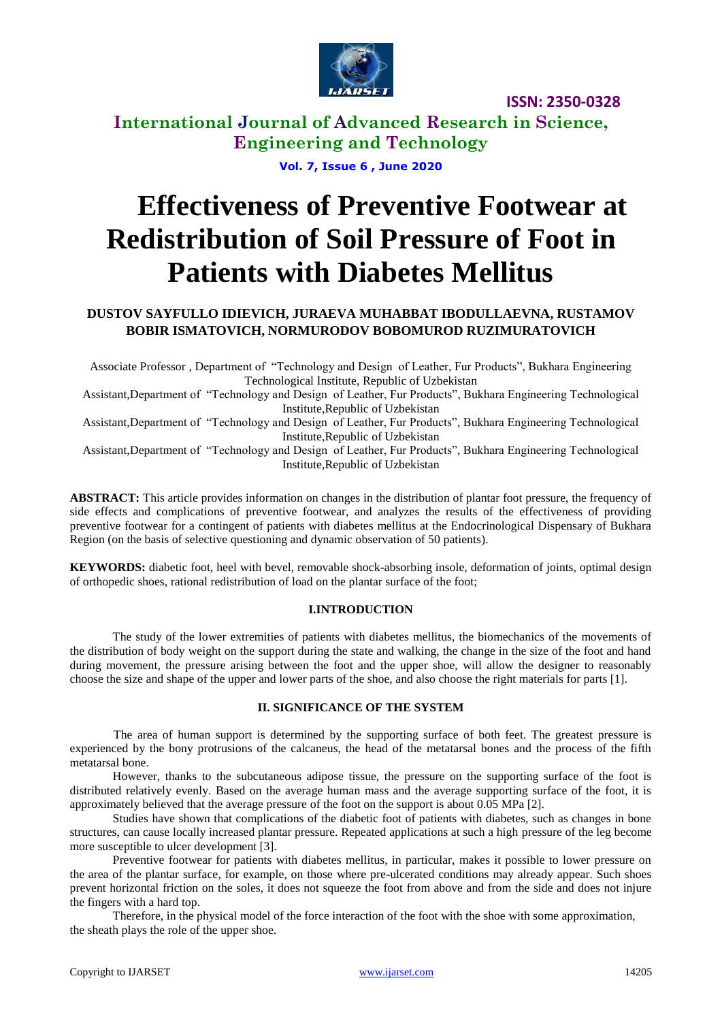

# **International Journal of Advanced Research in Science, Engineering and Technology**

**Vol. 7, Issue 6 , June 2020**

# **Effectiveness of Preventive Footwear at Redistribution of Soil Pressure of Foot in Patients with Diabetes Mellitus**

# **DUSTOV SAYFULLO IDIEVICH, JURAEVA MUHABBAT IBODULLAEVNA, RUSTAMOV BOBIR ISMATOVICH, NORMURODOV BOBOMUROD RUZIMURATOVICH**

Associate Professor , Department of "Technology and Design of Leather, Fur Products", Bukhara Engineering Technological Institute, Republic of Uzbekistan

Assistant,Department of "Technology and Design of Leather, Fur Products", Bukhara Engineering Technological Institute,Republic of Uzbekistan

Assistant,Department of "Technology and Design of Leather, Fur Products", Bukhara Engineering Technological Institute,Republic of Uzbekistan

Assistant,Department of "Technology and Design of Leather, Fur Products", Bukhara Engineering Technological Institute,Republic of Uzbekistan

**ABSTRACT:** This article provides information on changes in the distribution of plantar foot pressure, the frequency of side effects and complications of preventive footwear, and analyzes the results of the effectiveness of providing preventive footwear for a contingent of patients with diabetes mellitus at the Endocrinological Dispensary of Bukhara Region (on the basis of selective questioning and dynamic observation of 50 patients).

**KEYWORDS:** diabetic foot, heel with bevel, removable shock-absorbing insole, deformation of joints, optimal design of orthopedic shoes, rational redistribution of load on the plantar surface of the foot;

#### **I.INTRODUCTION**

The study of the lower extremities of patients with diabetes mellitus, the biomechanics of the movements of the distribution of body weight on the support during the state and walking, the change in the size of the foot and hand during movement, the pressure arising between the foot and the upper shoe, will allow the designer to reasonably choose the size and shape of the upper and lower parts of the shoe, and also choose the right materials for parts [1].

#### **II. SIGNIFICANCE OF THE SYSTEM**

The area of human support is determined by the supporting surface of both feet. The greatest pressure is experienced by the bony protrusions of the calcaneus, the head of the metatarsal bones and the process of the fifth metatarsal bone.

However, thanks to the subcutaneous adipose tissue, the pressure on the supporting surface of the foot is distributed relatively evenly. Based on the average human mass and the average supporting surface of the foot, it is approximately believed that the average pressure of the foot on the support is about 0.05 MPa [2].

Studies have shown that complications of the diabetic foot of patients with diabetes, such as changes in bone structures, can cause locally increased plantar pressure. Repeated applications at such a high pressure of the leg become more susceptible to ulcer development [3].

Preventive footwear for patients with diabetes mellitus, in particular, makes it possible to lower pressure on the area of the plantar surface, for example, on those where pre-ulcerated conditions may already appear. Such shoes prevent horizontal friction on the soles, it does not squeeze the foot from above and from the side and does not injure the fingers with a hard top.

Therefore, in the physical model of the force interaction of the foot with the shoe with some approximation, the sheath plays the role of the upper shoe.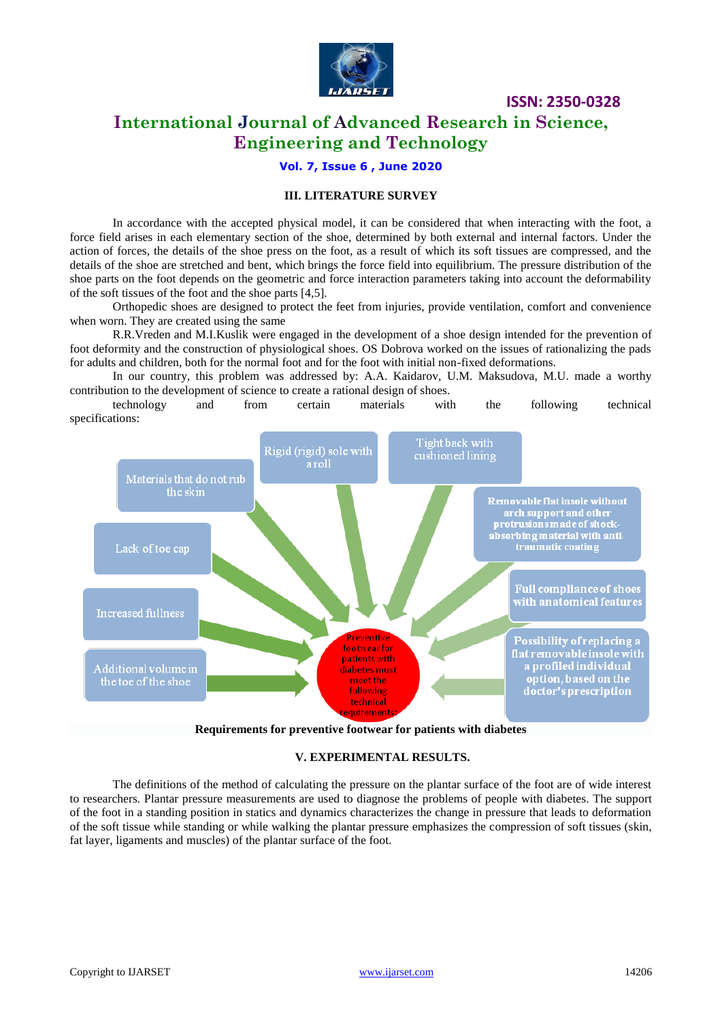

# **International Journal of Advanced Research in Science, Engineering and Technology**

## **Vol. 7, Issue 6 , June 2020**

## **III. LITERATURE SURVEY**

In accordance with the accepted physical model, it can be considered that when interacting with the foot, a force field arises in each elementary section of the shoe, determined by both external and internal factors. Under the action of forces, the details of the shoe press on the foot, as a result of which its soft tissues are compressed, and the details of the shoe are stretched and bent, which brings the force field into equilibrium. The pressure distribution of the shoe parts on the foot depends on the geometric and force interaction parameters taking into account the deformability of the soft tissues of the foot and the shoe parts [4,5].

Orthopedic shoes are designed to protect the feet from injuries, provide ventilation, comfort and convenience when worn. They are created using the same

R.R.Vreden and M.I.Kuslik were engaged in the development of a shoe design intended for the prevention of foot deformity and the construction of physiological shoes. OS Dobrova worked on the issues of rationalizing the pads for adults and children, both for the normal foot and for the foot with initial non-fixed deformations.

In our country, this problem was addressed by: A.A. Kaidarov, U.M. Maksudova, M.U. made a worthy contribution to the development of science to create a rational design of shoes.

technology and from certain materials with the following technical specifications:



**Requirements for preventive footwear for patients with diabetes**

#### **V. EXPERIMENTAL RESULTS.**

The definitions of the method of calculating the pressure on the plantar surface of the foot are of wide interest to researchers. Plantar pressure measurements are used to diagnose the problems of people with diabetes. The support of the foot in a standing position in statics and dynamics characterizes the change in pressure that leads to deformation of the soft tissue while standing or while walking the plantar pressure emphasizes the compression of soft tissues (skin, fat layer, ligaments and muscles) of the plantar surface of the foot.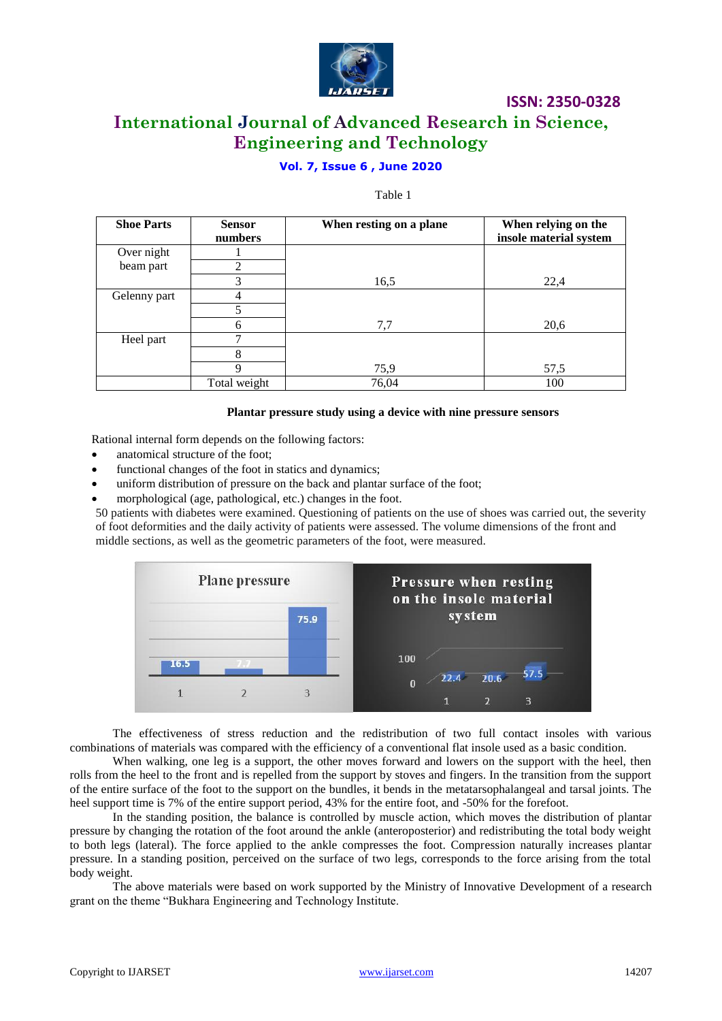

# **International Journal of Advanced Research in Science, Engineering and Technology**

# **Vol. 7, Issue 6 , June 2020**

#### Table 1

| <b>Shoe Parts</b> | <b>Sensor</b> | When resting on a plane | When relying on the    |
|-------------------|---------------|-------------------------|------------------------|
|                   | numbers       |                         | insole material system |
| Over night        |               |                         |                        |
| beam part         | 2             |                         |                        |
|                   | 3             | 16,5                    | 22,4                   |
| Gelenny part      |               |                         |                        |
|                   |               |                         |                        |
|                   | 6             | 7,7                     | 20,6                   |
| Heel part         | ⇁             |                         |                        |
|                   | 8             |                         |                        |
|                   | $\mathbf Q$   | 75,9                    | 57,5                   |
|                   | Total weight  | 76,04                   | 100                    |

#### **Plantar pressure study using a device with nine pressure sensors**

Rational internal form depends on the following factors:

- anatomical structure of the foot;
- functional changes of the foot in statics and dynamics;
- uniform distribution of pressure on the back and plantar surface of the foot;
- morphological (age, pathological, etc.) changes in the foot.

50 patients with diabetes were examined. Questioning of patients on the use of shoes was carried out, the severity of foot deformities and the daily activity of patients were assessed. The volume dimensions of the front and middle sections, as well as the geometric parameters of the foot, were measured.



The effectiveness of stress reduction and the redistribution of two full contact insoles with various combinations of materials was compared with the efficiency of a conventional flat insole used as a basic condition.

When walking, one leg is a support, the other moves forward and lowers on the support with the heel, then rolls from the heel to the front and is repelled from the support by stoves and fingers. In the transition from the support of the entire surface of the foot to the support on the bundles, it bends in the metatarsophalangeal and tarsal joints. The heel support time is 7% of the entire support period, 43% for the entire foot, and -50% for the forefoot.

In the standing position, the balance is controlled by muscle action, which moves the distribution of plantar pressure by changing the rotation of the foot around the ankle (anteroposterior) and redistributing the total body weight to both legs (lateral). The force applied to the ankle compresses the foot. Compression naturally increases plantar pressure. In a standing position, perceived on the surface of two legs, corresponds to the force arising from the total body weight.

The above materials were based on work supported by the Ministry of Innovative Development of a research grant on the theme "Bukhara Engineering and Technology Institute.